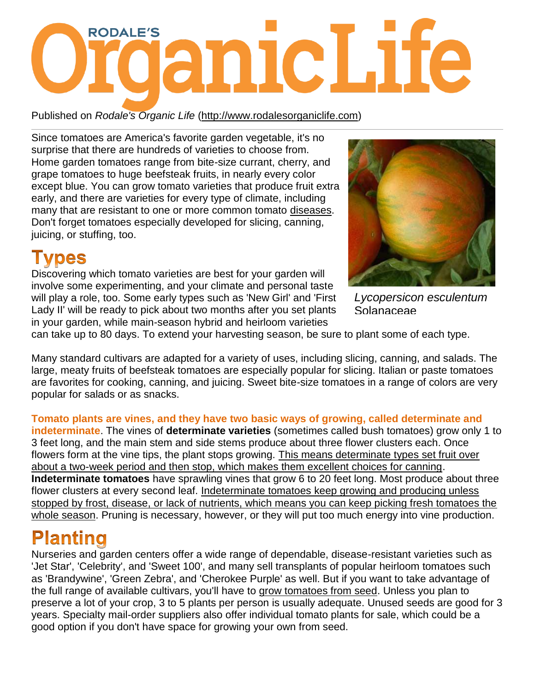

Published on *Rodale's Organic Life* [\(http://www.rodalesorganiclife.com\)](http://www.rodalesorganiclife.com/)

Since tomatoes are America's favorite garden vegetable, it's no surprise that there are hundreds of varieties to choose from. Home garden tomatoes range from bite-size currant, cherry, and grape tomatoes to huge beefsteak fruits, in nearly every color except blue. You can grow tomato varieties that produce fruit extra early, and there are varieties for every type of climate, including many that are resistant to one or more common tomato diseases. Don't forget tomatoes especially developed for slicing, canning, juicing, or stuffing, too.

## **Types**

Discovering which tomato varieties are best for your garden will involve some experimenting, and your climate and personal taste will play a role, too. Some early types such as 'New Girl' and 'First Lady II' will be ready to pick about two months after you set plants in your garden, while main-season hybrid and heirloom varieties



*Lycopersicon esculentum* Solanaceae

can take up to 80 days. To extend your harvesting season, be sure to plant some of each type.

Many standard cultivars are adapted for a variety of uses, including slicing, canning, and salads. The large, meaty fruits of beefsteak tomatoes are especially popular for slicing. Italian or paste tomatoes are favorites for cooking, canning, and juicing. Sweet bite-size tomatoes in a range of colors are very popular for salads or as snacks.

**Tomato plants are vines, and they have two basic ways of growing, called determinate and indeterminate**. The vines of **determinate varieties** (sometimes called bush tomatoes) grow only 1 to 3 feet long, and the main stem and side stems produce about three flower clusters each. Once flowers form at the vine tips, the plant stops growing. This means determinate types set fruit over about a two-week period and then stop, which makes them excellent choices for canning. **Indeterminate tomatoes** have sprawling vines that grow 6 to 20 feet long. Most produce about three flower clusters at every second leaf. Indeterminate tomatoes keep growing and producing unless stopped by frost, disease, or lack of nutrients, which means you can keep picking fresh tomatoes the whole season. Pruning is necessary, however, or they will put too much energy into vine production.

# **Planting**

Nurseries and garden centers offer a wide range of dependable, disease-resistant varieties such as 'Jet Star', 'Celebrity', and 'Sweet 100', and many sell transplants of popular heirloom tomatoes such as 'Brandywine', 'Green Zebra', and 'Cherokee Purple' as well. But if you want to take advantage of the full range of available cultivars, you'll have to grow tomatoes from seed. Unless you plan to preserve a lot of your crop, 3 to 5 plants per person is usually adequate. Unused seeds are good for 3 years. Specialty mail-order suppliers also offer individual tomato plants for sale, which could be a good option if you don't have space for growing your own from seed.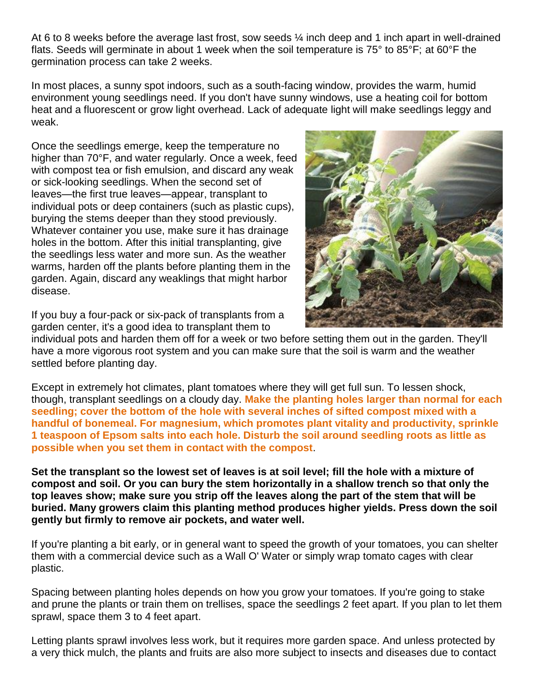At 6 to 8 weeks before the average last frost, sow seeds ¼ inch deep and 1 inch apart in well-drained flats. Seeds will germinate in about 1 week when the soil temperature is 75° to 85°F; at 60°F the germination process can take 2 weeks.

In most places, a sunny spot indoors, such as a south-facing window, provides the warm, humid environment young seedlings need. If you don't have sunny windows, use a heating coil for bottom heat and a fluorescent or grow light overhead. Lack of adequate light will make seedlings leggy and weak.

Once the seedlings emerge, keep the temperature no higher than 70°F, and water regularly. Once a week, feed with compost tea or fish emulsion, and discard any weak or sick-looking seedlings. When the second set of leaves—the first true leaves—appear, transplant to individual pots or deep containers (such as plastic cups), burying the stems deeper than they stood previously. Whatever container you use, make sure it has drainage holes in the bottom. After this initial transplanting, give the seedlings less water and more sun. As the weather warms, harden off the plants before planting them in the garden. Again, discard any weaklings that might harbor disease.



If you buy a four-pack or six-pack of transplants from a garden center, it's a good idea to transplant them to

individual pots and harden them off for a week or two before setting them out in the garden. They'll have a more vigorous root system and you can make sure that the soil is warm and the weather settled before planting day.

Except in extremely hot climates, plant tomatoes where they will get full sun. To lessen shock, though, transplant seedlings on a cloudy day. **Make the planting holes larger than normal for each seedling; cover the bottom of the hole with several inches of sifted compost mixed with a handful of bonemeal. For magnesium, which promotes plant vitality and productivity, sprinkle 1 teaspoon of Epsom salts into each hole. Disturb the soil around seedling roots as little as possible when you set them in contact with the compost**.

**Set the transplant so the lowest set of leaves is at soil level; fill the hole with a mixture of compost and soil. Or you can bury the stem horizontally in a shallow trench so that only the top leaves show; make sure you strip off the leaves along the part of the stem that will be buried. Many growers claim this planting method produces higher yields. Press down the soil gently but firmly to remove air pockets, and water well.**

If you're planting a bit early, or in general want to speed the growth of your tomatoes, you can shelter them with a commercial device such as a Wall O' Water or simply wrap tomato cages with clear plastic.

Spacing between planting holes depends on how you grow your tomatoes. If you're going to stake and prune the plants or train them on trellises, space the seedlings 2 feet apart. If you plan to let them sprawl, space them 3 to 4 feet apart.

Letting plants sprawl involves less work, but it requires more garden space. And unless protected by a very thick mulch, the plants and fruits are also more subject to insects and diseases due to contact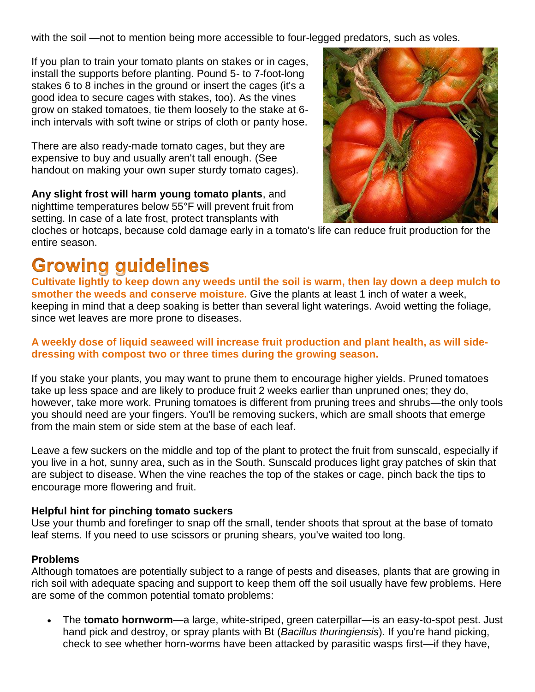with the soil —not to mention being more accessible to four-legged predators, such as voles.

If you plan to train your tomato plants on stakes or in cages, install the supports before planting. Pound 5- to 7-foot-long stakes 6 to 8 inches in the ground or insert the cages (it's a good idea to secure cages with stakes, too). As the vines grow on staked tomatoes, tie them loosely to the stake at 6 inch intervals with soft twine or strips of cloth or panty hose.

There are also ready-made tomato cages, but they are expensive to buy and usually aren't tall enough. (See handout on making your own super sturdy tomato cages).

#### **Any slight frost will harm young tomato plants**, and

nighttime temperatures below 55°F will prevent fruit from setting. In case of a late frost, protect transplants with

cloches or hotcaps, because cold damage early in a tomato's life can reduce fruit production for the entire season.

## **Growing guidelines**

**Cultivate lightly to keep down any weeds until the soil is warm, then lay down a deep mulch to smother the weeds and conserve moisture.** Give the plants at least 1 inch of water a week, keeping in mind that a deep soaking is better than several light waterings. Avoid wetting the foliage, since wet leaves are more prone to diseases.

#### **A weekly dose of liquid seaweed will increase fruit production and plant health, as will sidedressing with compost two or three times during the growing season.**

If you stake your plants, you may want to prune them to encourage higher yields. Pruned tomatoes take up less space and are likely to produce fruit 2 weeks earlier than unpruned ones; they do, however, take more work. Pruning tomatoes is different from pruning trees and shrubs—the only tools you should need are your fingers. You'll be removing suckers, which are small shoots that emerge from the main stem or side stem at the base of each leaf.

Leave a few suckers on the middle and top of the plant to protect the fruit from sunscald, especially if you live in a hot, sunny area, such as in the South. Sunscald produces light gray patches of skin that are subject to disease. When the vine reaches the top of the stakes or cage, pinch back the tips to encourage more flowering and fruit.

#### **Helpful hint for pinching tomato suckers**

Use your thumb and forefinger to snap off the small, tender shoots that sprout at the base of tomato leaf stems. If you need to use scissors or pruning shears, you've waited too long.

#### **Problems**

Although tomatoes are potentially subject to a range of pests and diseases, plants that are growing in rich soil with adequate spacing and support to keep them off the soil usually have few problems. Here are some of the common potential tomato problems:

 The **tomato hornworm**—a large, white-striped, green caterpillar—is an easy-to-spot pest. Just hand pick and destroy, or spray plants with Bt (*Bacillus thuringiensis*). If you're hand picking, check to see whether horn-worms have been attacked by parasitic wasps first—if they have,

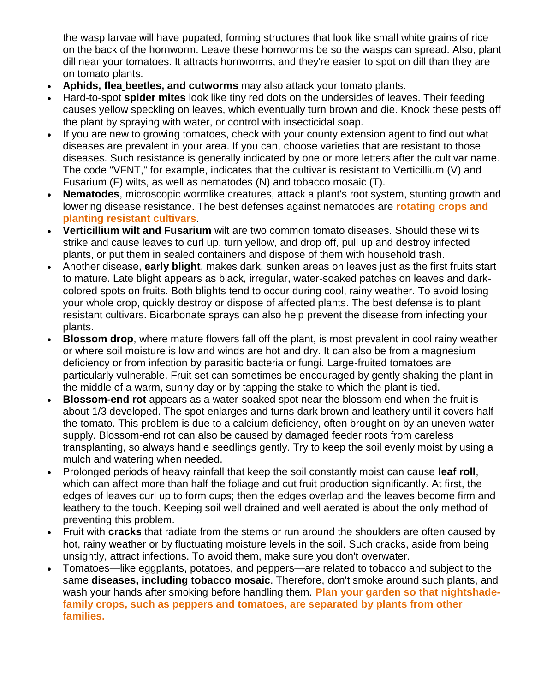the wasp larvae will have pupated, forming structures that look like small white grains of rice on the back of the hornworm. Leave these hornworms be so the wasps can spread. Also, plant dill near your tomatoes. It attracts hornworms, and they're easier to spot on dill than they are on tomato plants.

- **Aphids, flea [beetles,](http://www.rodalesorganiclife.com/node/14816) and cutworms** may also attack your tomato plants.
- Hard-to-spot **spider mites** look like tiny red dots on the undersides of leaves. Their feeding causes yellow speckling on leaves, which eventually turn brown and die. Knock these pests off the plant by spraying with water, or control with insecticidal soap.
- If you are new to growing tomatoes, check with your county extension agent to find out what diseases are prevalent in your area. If you can, choose varieties that are resistant to those diseases. Such resistance is generally indicated by one or more letters after the cultivar name. The code "VFNT," for example, indicates that the cultivar is resistant to Verticillium (V) and Fusarium (F) wilts, as well as nematodes (N) and tobacco mosaic (T).
- **Nematodes**, microscopic wormlike creatures, attack a plant's root system, stunting growth and lowering disease resistance. The best defenses against nematodes are **rotating crops and planting resistant cultivars**.
- **Verticillium wilt and Fusarium** wilt are two common tomato diseases. Should these wilts strike and cause leaves to curl up, turn yellow, and drop off, pull up and destroy infected plants, or put them in sealed containers and dispose of them with household trash.
- Another disease, **early blight**, makes dark, sunken areas on leaves just as the first fruits start to mature. Late blight appears as black, irregular, water-soaked patches on leaves and darkcolored spots on fruits. Both blights tend to occur during cool, rainy weather. To avoid losing your whole crop, quickly destroy or dispose of affected plants. The best defense is to plant resistant cultivars. Bicarbonate sprays can also help prevent the disease from infecting your plants.
- **Blossom drop**, where mature flowers fall off the plant, is most prevalent in cool rainy weather or where soil moisture is low and winds are hot and dry. It can also be from a magnesium deficiency or from infection by parasitic bacteria or fungi. Large-fruited tomatoes are particularly vulnerable. Fruit set can sometimes be encouraged by gently shaking the plant in the middle of a warm, sunny day or by tapping the stake to which the plant is tied.
- **Blossom-end rot** appears as a water-soaked spot near the blossom end when the fruit is about 1/3 developed. The spot enlarges and turns dark brown and leathery until it covers half the tomato. This problem is due to a calcium deficiency, often brought on by an uneven water supply. Blossom-end rot can also be caused by damaged feeder roots from careless transplanting, so always handle seedlings gently. Try to keep the soil evenly moist by using a mulch and watering when needed.
- Prolonged periods of heavy rainfall that keep the soil constantly moist can cause **leaf roll**, which can affect more than half the foliage and cut fruit production significantly. At first, the edges of leaves curl up to form cups; then the edges overlap and the leaves become firm and leathery to the touch. Keeping soil well drained and well aerated is about the only method of preventing this problem.
- Fruit with **cracks** that radiate from the stems or run around the shoulders are often caused by hot, rainy weather or by fluctuating moisture levels in the soil. Such cracks, aside from being unsightly, attract infections. To avoid them, make sure you don't overwater.
- Tomatoes—like eggplants, potatoes, and [peppers—](http://www.rodalesorganiclife.com/node/15096)are related to tobacco and subject to the same **diseases, including tobacco mosaic**. Therefore, don't smoke around such plants, and wash your hands after smoking before handling them. **Plan your garden so that nightshadefamily crops, such as peppers and tomatoes, are separated by plants from other families.**